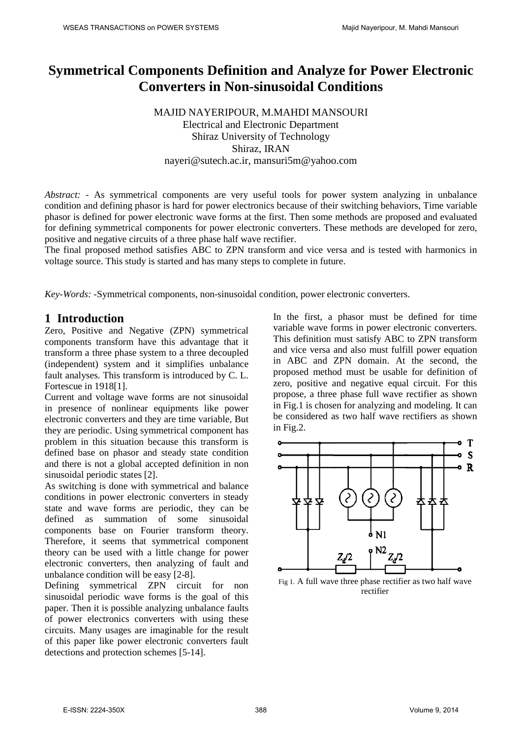# **Symmetrical Components Definition and Analyze for Power Electronic Converters in Non-sinusoidal Conditions**

MAJID NAYERIPOUR, M.MAHDI MANSOURI Electrical and Electronic Department Shiraz University of Technology Shiraz, IRAN [nayeri@sutech.ac.ir,](mailto:nayeri@sutech.ac.ir) [mansuri5m@yahoo.com](mailto:mansuri5m@yahoo.com)

*Abstract: -* As symmetrical components are very useful tools for power system analyzing in unbalance condition and defining phasor is hard for power electronics because of their switching behaviors, Time variable phasor is defined for power electronic wave forms at the first. Then some methods are proposed and evaluated for defining symmetrical components for power electronic converters. These methods are developed for zero, positive and negative circuits of a three phase half wave rectifier.

The final proposed method satisfies ABC to ZPN transform and vice versa and is tested with harmonics in voltage source. This study is started and has many steps to complete in future.

*Key-Words: -*Symmetrical components, non-sinusoidal condition, power electronic converters.

## **1 Introduction**

Zero, Positive and Negative (ZPN) symmetrical components transform have this advantage that it transform a three phase system to a three decoupled (independent) system and it simplifies unbalance fault analyses. This transform is introduced by C. L. Fortescue in 1918[1].

Current and voltage wave forms are not sinusoidal in presence of nonlinear equipments like power electronic converters and they are time variable, But they are periodic. Using symmetrical component has problem in this situation because this transform is defined base on phasor and steady state condition and there is not a global accepted definition in non sinusoidal periodic states [2].

As switching is done with symmetrical and balance conditions in power electronic converters in steady state and wave forms are periodic, they can be defined as summation of some sinusoidal components base on Fourier transform theory. Therefore, it seems that symmetrical component theory can be used with a little change for power electronic converters, then analyzing of fault and unbalance condition will be easy [2-8].

Defining symmetrical ZPN circuit for non sinusoidal periodic wave forms is the goal of this paper. Then it is possible analyzing unbalance faults of power electronics converters with using these circuits. Many usages are imaginable for the result of this paper like power electronic converters fault detections and protection schemes [5-14].

In the first, a phasor must be defined for time variable wave forms in power electronic converters. This definition must satisfy ABC to ZPN transform and vice versa and also must fulfill power equation in ABC and ZPN domain. At the second, the proposed method must be usable for definition of zero, positive and negative equal circuit. For this propose, a three phase full wave rectifier as shown in Fig.1 is chosen for analyzing and modeling. It can be considered as two half wave rectifiers as shown in Fig.2.



Fig 1. A full wave three phase rectifier as two half wave **rectifier**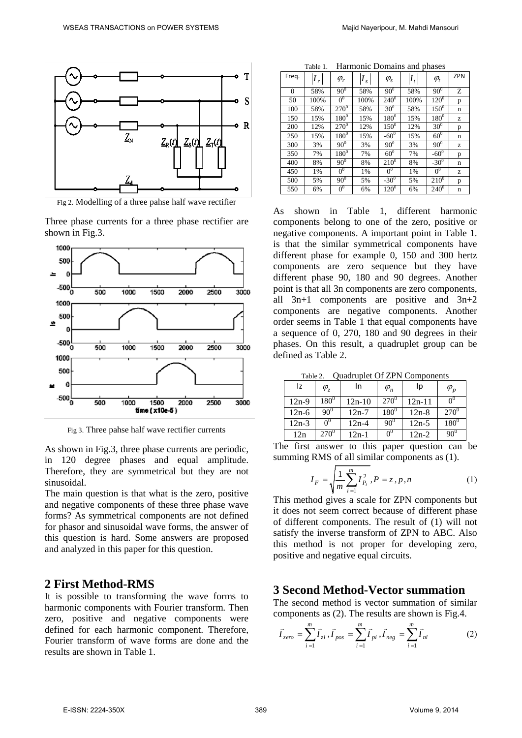

Fig 2. Modelling of a three pahse half wave rectifier

Three phase currents for a three phase rectifier are shown in Fig.3.



Fig 3. Three pahse half wave rectifier currents

As shown in Fig.3, three phase currents are periodic, in 120 degree phases and equal amplitude. Therefore, they are symmetrical but they are not sinusoidal.

The main question is that what is the zero, positive and negative components of these three phase wave forms? As symmetrical components are not defined for phasor and sinusoidal wave forms, the answer of this question is hard. Some answers are proposed and analyzed in this paper for this question.

#### **2 First Method-RMS**

It is possible to transforming the wave forms to harmonic components with Fourier transform. Then zero, positive and negative components were defined for each harmonic component. Therefore, Fourier transform of wave forms are done and the results are shown in Table 1.

| Freq.    | $I_r$ | $\varphi_r$    | $I_{s}$ | $\varphi_{s}$   | $I_t$ | $\varphi_t$     | <b>ZPN</b> |
|----------|-------|----------------|---------|-----------------|-------|-----------------|------------|
| $\theta$ | 58%   | $90^{0}$       | 58%     | $90^{0}$        | 58%   | $90^\circ$      | Z          |
| 50       | 100%  | 0 <sup>0</sup> | 100%    | $240^0$         | 100%  | $120^{0}$       | p          |
| 100      | 58%   | $270^0$        | 58%     | $30^0$          | 58%   | $150^0$         | n          |
| 150      | 15%   | $180^{0}$      | 15%     | $180^{0}$       | 15%   | $180^{0}$       | z          |
| 200      | 12%   | $270^0$        | 12%     | $150^\circ$     | 12%   | $30^{0}$        | p          |
| 250      | 15%   | $180^{0}$      | 15%     | $-60^0$         | 15%   | 60 <sup>0</sup> | n          |
| 300      | 3%    | $90^\circ$     | 3%      | $90^{0}$        | 3%    | $90^{0}$        | z          |
| 350      | 7%    | $180^0$        | 7%      | 60 <sup>0</sup> | 7%    | $-60^{0}$       | p          |
| 400      | 8%    | $90^\circ$     | 8%      | $210^{0}$       | 8%    | $-30^{0}$       | n          |
| 450      | 1%    | 0 <sup>0</sup> | 1%      | 0 <sup>0</sup>  | 1%    | 0 <sup>0</sup>  | z          |
| 500      | 5%    | $90^{0}$       | 5%      | $-30^{0}$       | 5%    | $210^{0}$       | p          |
| 550      | 6%    | 0 <sup>0</sup> | 6%      | $120^0$         | 6%    | $240^0$         | n          |

Table 1. Harmonic Domains and phases

As shown in Table 1, different harmonic components belong to one of the zero, positive or negative components. A important point in Table 1. is that the similar symmetrical components have different phase for example 0, 150 and 300 hertz components are zero sequence but they have different phase 90, 180 and 90 degrees. Another point is that all 3n components are zero components, all 3n+1 components are positive and 3n+2 components are negative components. Another order seems in Table 1 that equal components have a sequence of 0, 270, 180 and 90 degrees in their phases. On this result, a quadruplet group can be defined as Table 2.

Table 2. Quadruplet Of ZPN Components

| 1001C<br>$Q$ and applyt $Q_1$ $\overline{E_1}$ is components |                        |           |                |            |               |  |  |
|--------------------------------------------------------------|------------------------|-----------|----------------|------------|---------------|--|--|
| Iz                                                           | $\varphi$ <sub>7</sub> | In        | $\varphi_n$    | Ip         | $\varphi_{p}$ |  |  |
| $12n-9$                                                      | $180^\circ$            | $12n-10$  | $270^0$        | $12n - 11$ |               |  |  |
| $12n-6$                                                      | $90^{0}$               | $12n - 7$ | $180^{0}$      | $12n-8$    | $270^\circ$   |  |  |
| $12n-3$                                                      | $0^0$                  | $12n-4$   | $90^0$         | $12n-5$    | $180^\circ$   |  |  |
| 12n                                                          | $270^{\circ}$          | $12n-1$   | 0 <sup>0</sup> | $12n-2$    | $90^0$        |  |  |

The first answer to this paper question can be summing RMS of all similar components as (1).

$$
I_F = \sqrt{\frac{1}{m} \sum_{i=1}^{m} I_{P_i}^2}, P = z, p, n
$$
 (1)

This method gives a scale for ZPN components but it does not seem correct because of different phase of different components. The result of (1) will not satisfy the inverse transform of ZPN to ABC. Also this method is not proper for developing zero, positive and negative equal circuits.

### **3 Second Method-Vector summation**

The second method is vector summation of similar components as (2). The results are shown is Fig.4.

$$
\vec{I}_{zero} = \sum_{i=1}^{m} \vec{I}_{zi}, \vec{I}_{pos} = \sum_{i=1}^{m} \vec{I}_{pi}, \vec{I}_{neg} = \sum_{i=1}^{m} \vec{I}_{ni}
$$
 (2)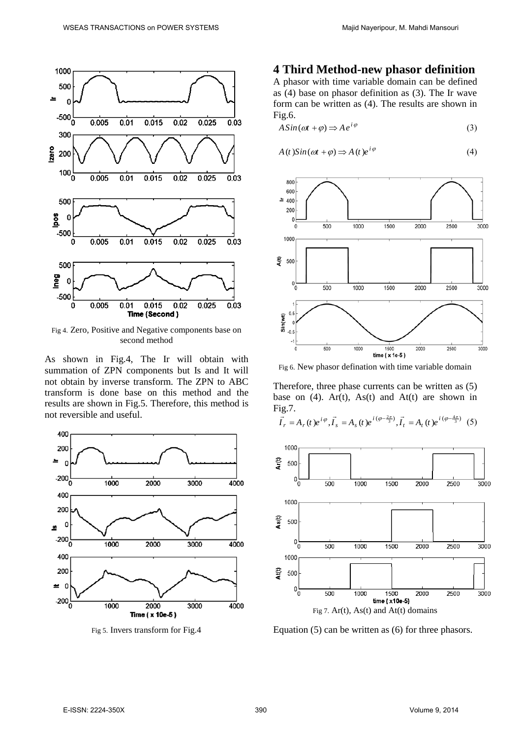

Fig 4. Zero, Positive and Negative components base on second method

As shown in Fig.4, The Ir will obtain with summation of ZPN components but Is and It will not obtain by inverse transform. The ZPN to ABC transform is done base on this method and the results are shown in Fig.5. Therefore, this method is not reversible and useful.



Fig 5. Invers transform for Fig.4

## **4 Third Method-new phasor definition**

A phasor with time variable domain can be defined as (4) base on phasor definition as (3). The Ir wave form can be written as (4). The results are shown in Fig.6.

$$
A\sin(\omega t + \varphi) \Longrightarrow A e^{i\varphi} \tag{3}
$$

$$
A(t)Sin(\omega t + \varphi) \Rightarrow A(t)e^{i\varphi}
$$
 (4)



Fig 6. New phasor defination with time variable domain

Therefore, three phase currents can be written as (5) base on (4).  $Ar(t)$ ,  $As(t)$  and  $At(t)$  are shown in Fig.7.  $\frac{1}{2}$   $\frac{1}{2}$   $\frac{1}{2}$   $\frac{1}{2}$   $\frac{1}{2}$   $\frac{1}{2}$   $\frac{1}{2}$   $\frac{1}{2}$   $\frac{1}{2}$   $\frac{1}{2}$   $\frac{1}{2}$   $\frac{1}{2}$   $\frac{1}{2}$   $\frac{1}{2}$   $\frac{1}{2}$   $\frac{1}{2}$   $\frac{1}{2}$   $\frac{1}{2}$   $\frac{1}{2}$   $\frac{1}{2}$   $\frac{1}{2}$   $\frac{$ 

$$
\vec{I}_r = A_r(t)e^{i\varphi}, \vec{I}_s = A_s(t)e^{i(\varphi - \frac{2\pi}{3})}, \vec{I}_t = A_t(t)e^{i(\varphi - \frac{4\pi}{3})}
$$
(5)



Equation (5) can be written as (6) for three phasors.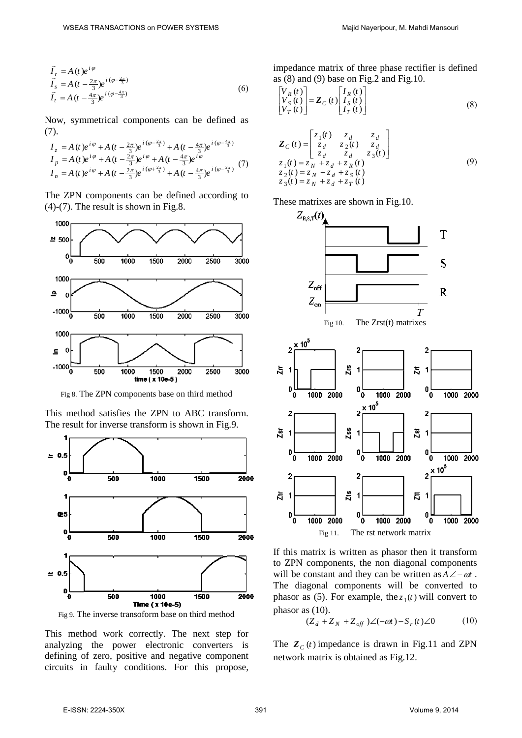$$
\vec{I}_r = A(t)e^{i\varphi} \n\vec{I}_s = A(t - \frac{2\pi}{3})e^{i(\varphi - \frac{2\pi}{3})} \n\vec{I}_t = A(t - \frac{4\pi}{3})e^{i(\varphi - \frac{4\pi}{3})}
$$
\n(6)

Now, symmetrical components can be defined as (7).

$$
I_z = A(t)e^{i\varphi} + A(t - \frac{2\pi}{3})e^{i(\varphi - \frac{2\pi}{3})} + A(t - \frac{4\pi}{3})e^{i(\varphi - \frac{4\pi}{3})}
$$
  
\n
$$
I_p = A(t)e^{i\varphi} + A(t - \frac{2\pi}{3})e^{i\varphi} + A(t - \frac{4\pi}{3})e^{i\varphi}
$$
  
\n
$$
I_n = A(t)e^{i\varphi} + A(t - \frac{2\pi}{3})e^{i(\varphi + \frac{2\pi}{3})} + A(t - \frac{4\pi}{3})e^{i(\varphi - \frac{2\pi}{3})}
$$
 (7)

The ZPN components can be defined according to (4)-(7). The result is shown in Fig.8.



Fig 8. The ZPN components base on third method

This method satisfies the ZPN to ABC transform. The result for inverse transform is shown in Fig.9.



Fig 9. The inverse transoform base on third method

This method work correctly. The next step for analyzing the power electronic converters is defining of zero, positive and negative component circuits in faulty conditions. For this propose, impedance matrix of three phase rectifier is defined as  $(8)$  and  $(9)$  base on Fig. 2 and Fig. 10.

$$
\begin{bmatrix} V_R(t) \\ V_S(t) \\ V_T(t) \end{bmatrix} = \mathbf{Z}_C(t) \begin{bmatrix} I_R(t) \\ I_S(t) \\ I_T(t) \end{bmatrix}
$$
\n(8)

$$
\mathbf{Z}_{C}(t) = \begin{bmatrix} z_{1}(t) & z_{d} & z_{d} \\ z_{d} & z_{2}(t) & z_{d} \\ z_{d} & z_{d} & z_{3}(t) \end{bmatrix}
$$
  
\n
$$
z_{1}(t) = z_{N} + z_{d} + z_{R}(t)
$$
  
\n
$$
z_{2}(t) = z_{N} + z_{d} + z_{S}(t)
$$
  
\n
$$
z_{3}(t) = z_{N} + z_{d} + z_{T}(t)
$$
\n(9)

These matrixes are shown in Fig.10.



If this matrix is written as phasor then it transform to ZPN components, the non diagonal components will be constant and they can be written as  $A \angle -\omega t$ . The diagonal components will be converted to phasor as (5). For example, the  $z_1(t)$  will convert to phasor as (10).

$$
(Z_d + Z_N + Z_{off})\angle(-\omega t) - S_r(t)\angle 0 \tag{10}
$$

The  $Z_c(t)$  impedance is drawn in Fig.11 and ZPN network matrix is obtained as Fig.12.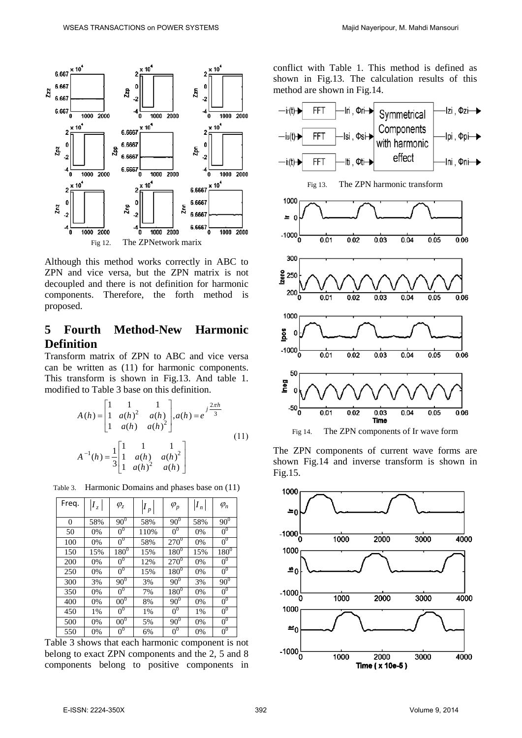

Although this method works correctly in ABC to ZPN and vice versa, but the ZPN matrix is not decoupled and there is not definition for harmonic components. Therefore, the forth method is proposed.

# **5 Fourth Method-New Harmonic Definition**

Transform matrix of ZPN to ABC and vice versa can be written as (11) for harmonic components. This transform is shown in Fig.13. And table 1. modified to Table 3 base on this definition.

$$
A(h) = \begin{bmatrix} 1 & 1 & 1 \\ 1 & a(h)^2 & a(h) \\ 1 & a(h) & a(h)^2 \end{bmatrix}, a(h) = e^{j\frac{2\pi h}{3}}
$$
  
\n
$$
A^{-1}(h) = \frac{1}{3} \begin{bmatrix} 1 & 1 & 1 \\ 1 & a(h) & a(h)^2 \\ 1 & a(h)^2 & a(h) \end{bmatrix}
$$
\n(11)

Table 3. Harmonic Domains and phases base on (11)

| Freq.          | $ I_z $ | $\varphi_z$         | $I_{p}$ | $\varphi_p$         | $ I_n $ | $\varphi_n$    |
|----------------|---------|---------------------|---------|---------------------|---------|----------------|
| $\overline{0}$ | 58%     | $90^{\overline{0}}$ | 58%     | $90^{\overline{0}}$ | 58%     | $90^{0}$       |
| 50             | 0%      | 0 <sup>0</sup>      | 110%    | 0 <sup>0</sup>      | 0%      | 0 <sup>0</sup> |
| 100            | 0%      | 0 <sup>0</sup>      | 58%     | $270^{0}$           | 0%      | 0 <sup>0</sup> |
| 150            | 15%     | $180^\circ$         | 15%     | $180^\circ$         | 15%     | $180^\circ$    |
| 200            | 0%      | 0 <sup>0</sup>      | 12%     | $270^{0}$           | $0\%$   | 0 <sup>0</sup> |
| 250            | 0%      | $0^0$               | 15%     | $180^\circ$         | 0%      | $0^0$          |
| 300            | 3%      | $90^\circ$          | 3%      | $90^{0}$            | 3%      | $90^{0}$       |
| 350            | 0%      | 0 <sup>0</sup>      | 7%      | $180^\circ$         | 0%      | 0 <sup>0</sup> |
| 400            | 0%      | 00 <sup>0</sup>     | 8%      | 90 <sup>0</sup>     | $0\%$   | 0 <sup>0</sup> |
| 450            | 1%      | $0^0$               | 1%      | 0 <sup>0</sup>      | 1%      | $0^0$          |
| 500            | 0%      | 00 <sup>0</sup>     | 5%      | $90^{0}$            | 0%      | 0 <sup>0</sup> |
| 550            | 0%      | $0^0$               | 6%      | 0 <sup>0</sup>      | 0%      | $0^0$          |

Table 3 shows that each harmonic component is not belong to exact ZPN components and the 2, 5 and 8 components belong to positive components in

conflict with Table 1. This method is defined as shown in Fig.13. The calculation results of this method are shown in Fig.14.



The ZPN components of current wave forms are shown Fig.14 and inverse transform is shown in Fig.15.

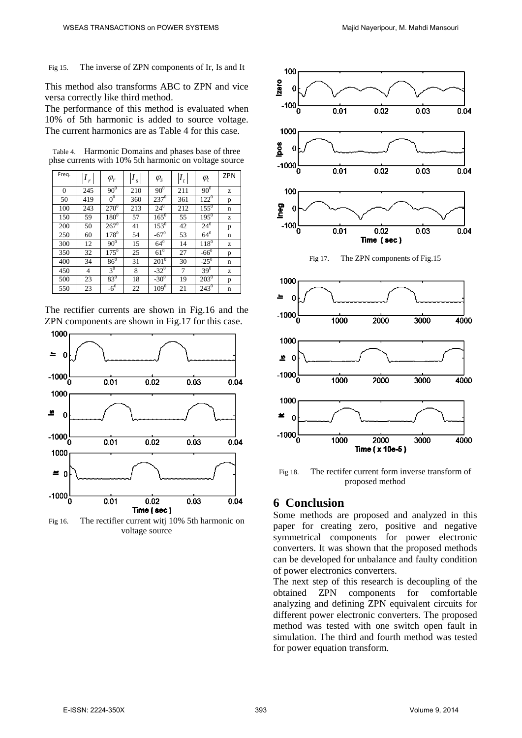Fig 15. The inverse of ZPN components of Ir, Is and It

This method also transforms ABC to ZPN and vice versa correctly like third method.

The performance of this method is evaluated when 10% of 5th harmonic is added to source voltage. The current harmonics are as Table 4 for this case.

Table 4. Harmonic Domains and phases base of three phse currents with 10% 5th harmonic on voltage source

| Freq.    | $\mathbf{r}$ | $\varphi_r$    | $\boldsymbol{S}$ | $\varphi_{\rm s}$ | $I_t$ | $\varphi_t$   | <b>ZPN</b> |
|----------|--------------|----------------|------------------|-------------------|-------|---------------|------------|
| $\Omega$ | 245          | $90^{0}$       | 210              | $90^{0}$          | 211   | $90^\circ$    | z          |
| 50       | 419          | 0 <sup>0</sup> | 360              | $237^0$           | 361   | $122^0$       | p          |
| 100      | 243          | $270^{0}$      | 213              | $24^{0}$          | 212   | $155^{0}$     | n          |
| 150      | 59           | $180^\circ$    | 57               | $165^0$           | 55    | $195^{0}$     | z          |
| 200      | 50           | $267^{\circ}$  | 41               | $153^0$           | 42    | $24^{0}$      | p          |
| 250      | 60           | $178^{0}$      | 54               | $-67^0$           | 53    | $64^0$        | n          |
| 300      | 12           | $90^{0}$       | 15               | $64^{0}$          | 14    | $118^{0}$     | z          |
| 350      | 32           | $175^0$        | 25               | $61^{\circ}$      | 27    | $-66^{\circ}$ | p          |
| 400      | 34           | $86^{0}$       | 31               | $201^{\circ}$     | 30    | $-25^{\circ}$ | n          |
| 450      | 4            | 3 <sup>0</sup> | 8                | $-32^0$           | 7     | $39^{0}$      | z          |
| 500      | 23           | $83^{0}$       | 18               | $-30^{0}$         | 19    | $203^0$       | p          |
| 550      | 23           | $-6^0$         | 22               | $109^{0}$         | 21    | $243^0$       | n          |

The rectifier currents are shown in Fig.16 and the ZPN components are shown in Fig.17 for this case.



Fig 16. The rectifier current witj 10% 5th harmonic on voltage source



Fig 18. The rectifer current form inverse transform of proposed method

## **6 Conclusion**

Some methods are proposed and analyzed in this paper for creating zero, positive and negative symmetrical components for power electronic converters. It was shown that the proposed methods can be developed for unbalance and faulty condition of power electronics converters.

The next step of this research is decoupling of the obtained ZPN components for comfortable analyzing and defining ZPN equivalent circuits for different power electronic converters. The proposed method was tested with one switch open fault in simulation. The third and fourth method was tested for power equation transform.